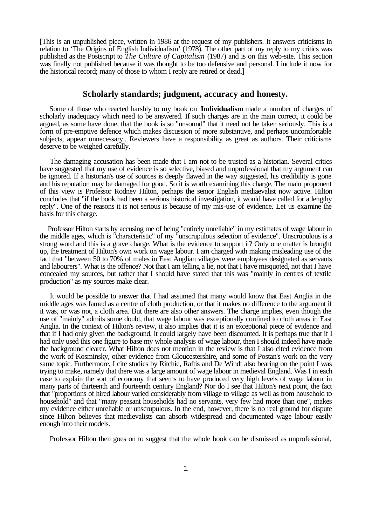[This is an unpublished piece, written in 1986 at the request of my publishers. It answers criticisms in relation to 'The Origins of English Individualism' (1978). The other part of my reply to my critics was published as the Postscript to *The Culture of Capitalism* (1987) and is on this web-site. This section was finally not published because it was thought to be too defensive and personal. I include it now for the historical record; many of those to whom I reply are retired or dead.]

## **Scholarly standards; judgment, accuracy and honesty.**

 Some of those who reacted harshly to my book on **Individualism** made a number of charges of scholarly inadequacy which need to be answered. If such charges are in the main correct, it could be argued, as some have done, that the book is so "unsound" that it need not be taken seriously. This is a form of pre-emptive defence which makes discussion of more substantive, and perhaps uncomfortable subjects, appear unnecessary.. Reviewers have a responsibility as great as authors. Their criticisms deserve to be weighed carefully.

 The damaging accusation has been made that I am not to be trusted as a historian. Several critics have suggested that my use of evidence is so selective, biased and unprofessional that my argument can be ignored. If a historian's use of sources is deeply flawed in the way suggested, his credibility is gone and his reputation may be damaged for good. So it is worth examining this charge. The main proponent of this view is Professor Rodney Hilton, perhaps the senior English mediaevalist now active. Hilton concludes that "if the book had been a serious historical investigation, it would have called for a lengthy reply". One of the reasons it is not serious is because of my mis-use of evidence. Let us examine the basis for this charge.

 Professor Hilton starts by accusing me of being "entirely unreliable" in my estimates of wage labour in the middle ages, which is "characteristic" of my "unscrupulous selection of evidence". Unscrupulous is a strong word and this is a grave charge. What is the evidence to support it? Only one matter is brought up, the treatment of Hilton's own work on wage labour. I am charged with making misleading use of the fact that "between 50 to 70% of males in East Anglian villages were employees designated as servants and labourers". What is the offence? Not that I am telling a lie, not that I have misquoted, not that I have concealed my sources, but rather that I should have stated that this was "mainly in centres of textile production" as my sources make clear.

 It would be possible to answer that I had assumed that many would know that East Anglia in the middle ages was famed as a centre of cloth production, or that it makes no difference to the argument if it was, or was not, a cloth area. But there are also other answers. The charge implies, even though the use of "mainly" admits some doubt, that wage labour was exceptionally confined to cloth areas in East Anglia. In the context of Hilton's review, it also implies that it is an exceptional piece of evidence and that if I had only given the background, it could largely have been discounted. It is perhaps true that if I had only used this one figure to base my whole analysis of wage labour, then I should indeed have made the background clearer. What Hilton does not mention in the review is that I also cited evidence from the work of Kosminsky, other evidence from Gloucestershire, and some of Postan's work on the very same topic. Furthermore, I cite studies by Ritchie, Raftis and De Windt also bearing on the point I was trying to make, namely that there was a large amount of wage labour in medieval England. Was I in each case to explain the sort of economy that seems to have produced very high levels of wage labour in many parts of thirteenth and fourteenth century England? Nor do I see that Hilton's next point, the fact that "proportions of hired labour varied considerably from village to village as well as from household to household" and that "many peasant households had no servants, very few had more than one", makes my evidence either unreliable or unscrupulous. In the end, however, there is no real ground for dispute since Hilton believes that medievalists can absorb widespread and documented wage labour easily enough into their models.

Professor Hilton then goes on to suggest that the whole book can be dismissed as unprofessional,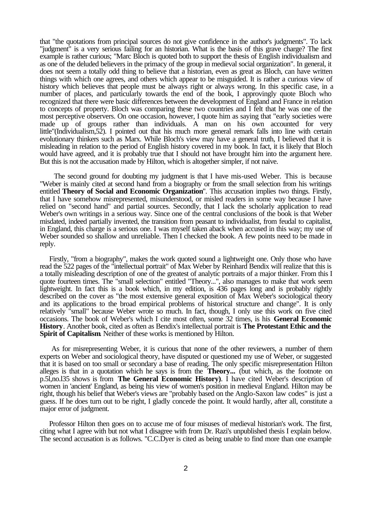that "the quotations from principal sources do not give confidence in the author's judgments". To lack "judgment" is a very serious failing for an historian. What is the basis of this grave charge? The first example is rather curious; "Marc Bloch is quoted both to support the thesis of English individualism and as one of the deluded believers in the primacy of the group in medieval social organization". In general, it does not seem a totally odd thing to believe that a historian, even as great as Bloch, can have written things with which one agrees, and others which appear to be misguided. It is rather a curious view of history which believes that people must be always right or always wrong. In this specific case, in a number of places, and particularly towards the end of the book, I approvingly quote Bloch who recognized that there were basic differences between the development of England and France in relation to concepts of property. Bloch was comparing these two countries and I felt that he was one of the most perceptive observers. On one occasion, however, I quote him as saying that "early societies were made up of groups rather than individuals. A man on his own accounted for very little"(Individualism,52). I pointed out that his much more general remark falls into line with certain evolutionary thinkers such as Marx. While Bloch's view may have a general truth, I believed that it is misleading in relation to the period of English history covered in my book. In fact, it is likely that Bloch would have agreed, and it is probably true that I should not have brought him into the argument here. But this is not the accusation made by Hilton, which is altogether simpler, if not naive.

 The second ground for doubting my judgment is that I have mis-used Weber. This is because "Weber is mainly cited at second hand from a biography or from the small selection from his writings entitled **Theory of Social and Economic Organization**". This accusation implies two things. Firstly, that I have somehow misrepresented, misunderstood, or misled readers in some way because I have relied on "second hand" and partial sources. Secondly, that I lack the scholarly application to read Weber's own writings in a serious way. Since one of the central conclusions of the book is that Weber misdated, indeed partially invented, the transition from peasant to individualist, from feudal to capitalist, in England, this charge is a serious one. I was myself taken aback when accused in this way; my use of Weber sounded so shallow and unreliable. Then I checked the book. A few points need to be made in reply.

 Firstly, "from a biography", makes the work quoted sound a lightweight one. Only those who have read the 522 pages of the "intellectual portrait" of Max Weber by Reinhard Bendix will realize that this is a totally misleading description of one of the greatest of analytic portraits of a major thinker. From this I quote fourteen times. The "small selection" entitled "Theory...", also manages to make that work seem lightweight. In fact this is a book which, in my edition, is 436 pages long and is probably rightly described on the cover as "the most extensive general exposition of Max Weber's sociological theory and its applications to the broad empirical problems of historical structure and change". It is only relatively "small" because Weber wrote so much. In fact, though, I only use this work on five cited occasions. The book of Weber's which I cite most often, some 32 times, is his **General Economic History**. Another book, cited as often as Bendix's intellectual portrait is **The Protestant Ethic and the Spirit of Capitalism**. Neither of these works is mentioned by Hilton.

 As for misrepresenting Weber, it is curious that none of the other reviewers, a number of them experts on Weber and sociological theory, have disputed or questioned my use of Weber, or suggested that it is based on too small or secondary a base of reading. The only specific misrepresentation Hilton alleges is that in a quotation which he says is from the **Theory...** (but which, as the footnote on p.5l,no.l35 shows is from **The General Economic History)**. I have cited Weber's description of women in 'ancient' England, as being his view of women's position in medieval England. Hilton may be right, though his belief that Weber's views are "probably based on the Anglo-Saxon law codes" is just a guess. If he does turn out to be right, I gladly concede the point. It would hardly, after all, constitute a major error of judgment.

 Professor Hilton then goes on to accuse me of four misuses of medieval historian's work. The first, citing what I agree with but not what I disagree with from Dr. Razi's unpublished thesis I explain below. The second accusation is as follows. "C.C.Dyer is cited as being unable to find more than one example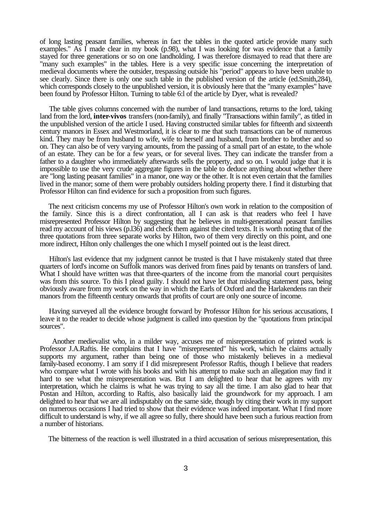of long lasting peasant families, whereas in fact the tables in the quoted article provide many such examples." As I made clear in my book (p.98), what I was looking for was evidence that a family stayed for three generations or so on one landholding. I was therefore dismayed to read that there are "many such examples" in the tables. Here is a very specific issue concerning the interpretation of medieval documents where the outsider, trespassing outside his "period" appears to have been unable to see clearly. Since there is only one such table in the published version of the article (ed.Smith,284), which corresponds closely to the unpublished version, it is obviously here that the "many examples" have been found by Professor Hilton. Turning to table 6:l of the article by Dyer, what is revealed?

 The table gives columns concerned with the number of land transactions, returns to the lord, taking land from the lord, **inter-vivos** transfers (non-family), and finally "Transactions within family", as titled in the unpublished version of the article I used. Having constructed similar tables for fifteenth and sixteenth century manors in Essex and Westmorland, it is clear to me that such transactions can be of numerous kind. They may be from husband to wife, wife to herself and husband, from brother to brother and so on. They can also be of very varying amounts, from the passing of a small part of an estate, to the whole of an estate. They can be for a few years, or for several lives. They can indicate the transfer from a father to a daughter who immediately afterwards sells the property, and so on. I would judge that it is impossible to use the very crude aggregate figures in the table to deduce anything about whether there are "long lasting peasant families" in a manor, one way or the other. It is not even certain that the families lived in the manor; some of them were probably outsiders holding property there. I find it disturbing that Professor Hilton can find evidence for such a proposition from such figures.

 The next criticism concerns my use of Professor Hilton's own work in relation to the composition of the family. Since this is a direct confrontation, all I can ask is that readers who feel I have misrepresented Professor Hilton by suggesting that he believes in multi-generational peasant families read my account of his views (p.l36) and check them against the cited texts. It is worth noting that of the three quotations from three separate works by Hilton, two of them very directly on this point, and one more indirect, Hilton only challenges the one which I myself pointed out is the least direct.

 Hilton's last evidence that my judgment cannot be trusted is that I have mistakenly stated that three quarters of lord's income on Suffolk manors was derived from fines paid by tenants on transfers of land. What I should have written was that three-quarters of the income from the manorial court perquisites was from this source. To this I plead guilty. I should not have let that misleading statement pass, being obviously aware from my work on the way in which the Earls of Oxford and the Harlakendens ran their manors from the fifteenth century onwards that profits of court are only one source of income.

 Having surveyed all the evidence brought forward by Professor Hilton for his serious accusations, I leave it to the reader to decide whose judgment is called into question by the "quotations from principal sources".

 Another medievalist who, in a milder way, accuses me of misrepresentation of printed work is Professor J.A.Raftis. He complains that I have "misrepresented" his work, which he claims actually supports my argument, rather than being one of those who mistakenly believes in a medieval family-based economy. I am sorry if I did misrepresent Professor Raftis, though I believe that readers who compare what I wrote with his books and with his attempt to make such an allegation may find it hard to see what the misrepresentation was. But I am delighted to hear that he agrees with my interpretation, which he claims is what he was trying to say all the time. I am also glad to hear that Postan and Hilton, according to Raftis, also basically laid the groundwork for my approach. I am delighted to hear that we are all indisputably on the same side, though by citing their work in my support on numerous occasions I had tried to show that their evidence was indeed important. What I find more difficult to understand is why, if we all agree so fully, there should have been such a furious reaction from a number of historians.

The bitterness of the reaction is well illustrated in a third accusation of serious misrepresentation, this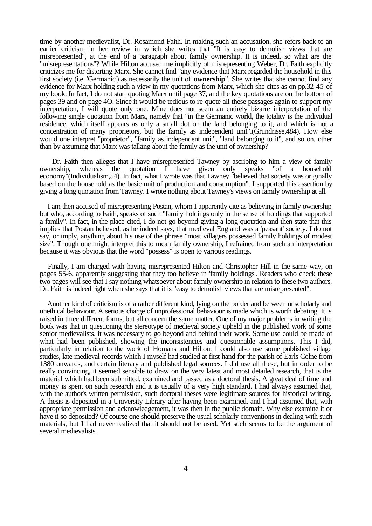time by another medievalist, Dr. Rosamond Faith. In making such an accusation, she refers back to an earlier criticism in her review in which she writes that "It is easy to demolish views that are misrepresented", at the end of a paragraph about family ownership. It is indeed, so what are the "misrepresentations"? While Hilton accused me implicitly of misrepresenting Weber, Dr. Faith explicitly criticizes me for distorting Marx. She cannot find "any evidence that Marx regarded the household in this first society (i.e. 'Germanic') as necessarily the unit of **ownership**". She writes that she cannot find any evidence for Marx holding such a view in my quotations from Marx, which she cites as on pp.32-45 of my book. In fact, I do not start quoting Marx until page 37, and the key quotations are on the bottom of pages 39 and on page 4O. Since it would be tedious to re-quote all these passages again to support my interpretation, I will quote only one. Mine does not seem an entirely bizarre interpretation of the following single quotation from Marx, namely that "in the Germanic world, the totality is the individual residence, which itself appears as only a small dot on the land belonging to it, and which is not a concentration of many proprietors, but the family as independent unit".(Grundrisse,484). How else would one interpret "proprietor", "family as independent unit", "land belonging to it", and so on, other than by assuming that Marx was talking about the family as the unit of ownership?

Dr. Faith then alleges that I have misrepresented Tawney by ascribing to him a view of family ership, whereas the quotation I have given only speaks "of a household ownership, whereas the quotation I have given only speaks "of a household economy"(Individualism,54). In fact, what I wrote was that Tawney "believed that society was originally based on the household as the basic unit of production and consumption". I supported this assertion by giving a long quotation from Tawney. I wrote nothing about Tawney's views on family ownership at all.

 I am then accused of misrepresenting Postan, whom I apparently cite as believing in family ownership but who, according to Faith, speaks of such "family holdings only in the sense of holdings that supported a family". In fact, in the place cited, I do not go beyond giving a long quotation and then state that this implies that Postan believed, as he indeed says, that medieval England was a 'peasant' society. I do not say, or imply, anything about his use of the phrase "most villagers possessed family holdings of modest size". Though one might interpret this to mean family ownership, I refrained from such an interpretation because it was obvious that the word "possess" is open to various readings.

 Finally, I am charged with having misrepresented Hilton and Christopher Hill in the same way, on pages 55-6, apparently suggesting that they too believe in 'family holdings'. Readers who check these two pages will see that I say nothing whatsoever about family ownership in relation to these two authors. Dr. Faith is indeed right when she says that it is "easy to demolish views that are misrepresented".

 Another kind of criticism is of a rather different kind, lying on the borderland between unscholarly and unethical behaviour. A serious charge of unprofessional behaviour is made which is worth debating. It is raised in three different forms, but all concern the same matter. One of my major problems in writing the book was that in questioning the stereotype of medieval society upheld in the published work of some senior medievalists, it was necessary to go beyond and behind their work. Some use could be made of what had been published, showing the inconsistencies and questionable assumptions. This I did, particularly in relation to the work of Homans and Hilton. I could also use some published village studies, late medieval records which I myself had studied at first hand for the parish of Earls Colne from 1380 onwards, and certain literary and published legal sources. I did use all these, but in order to be really convincing, it seemed sensible to draw on the very latest and most detailed research, that is the material which had been submitted, examined and passed as a doctoral thesis. A great deal of time and money is spent on such research and it is usually of a very high standard. I had always assumed that, with the author's written permission, such doctoral theses were legitimate sources for historical writing. A thesis is deposited in a University Library after having been examined, and I had assumed that, with appropriate permission and acknowledgement, it was then in the public domain. Why else examine it or have it so deposited? Of course one should preserve the usual scholarly conventions in dealing with such materials, but I had never realized that it should not be used. Yet such seems to be the argument of several medievalists.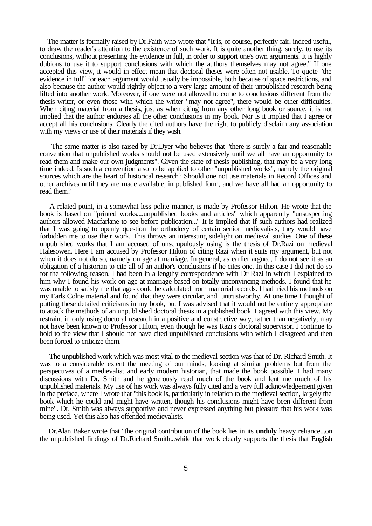The matter is formally raised by Dr.Faith who wrote that "It is, of course, perfectly fair, indeed useful, to draw the reader's attention to the existence of such work. It is quite another thing, surely, to use its conclusions, without presenting the evidence in full, in order to support one's own arguments. It is highly dubious to use it to support conclusions with which the authors themselves may not agree." If one accepted this view, it would in effect mean that doctoral theses were often not usable. To quote "the evidence in full" for each argument would usually be impossible, both because of space restrictions, and also because the author would rightly object to a very large amount of their unpublished research being lifted into another work. Moreover, if one were not allowed to come to conclusions different from the thesis-writer, or even those with which the writer "may not agree", there would be other difficulties. When citing material from a thesis, just as when citing from any other long book or source, it is not implied that the author endorses all the other conclusions in my book. Nor is it implied that I agree or accept all his conclusions. Clearly the cited authors have the right to publicly disclaim any association with my views or use of their materials if they wish.

 The same matter is also raised by Dr.Dyer who believes that "there is surely a fair and reasonable convention that unpublished works should not be used extensively until we all have an opportunity to read them and make our own judgments". Given the state of thesis publishing, that may be a very long time indeed. Is such a convention also to be applied to other "unpublished works", namely the original sources which are the heart of historical research? Should one not use materials in Record Offices and other archives until they are made available, in published form, and we have all had an opportunity to read them?

 A related point, in a somewhat less polite manner, is made by Professor Hilton. He wrote that the book is based on "printed works....unpublished books and articles" which apparently "unsuspecting authors allowed Macfarlane to see before publication..." It is implied that if such authors had realized that I was going to openly question the orthodoxy of certain senior medievalists, they would have forbidden me to use their work. This throws an interesting sidelight on medieval studies. One of these unpublished works that I am accused of unscrupulously using is the thesis of Dr.Razi on medieval Halesowen. Here I am accused by Professor Hilton of citing Razi when it suits my argument, but not when it does not do so, namely on age at marriage. In general, as earlier argued, I do not see it as an obligation of a historian to cite all of an author's conclusions if he cites one. In this case I did not do so for the following reason. I had been in a lengthy correspondence with Dr Razi in which I explained to him why I found his work on age at marriage based on totally unconvincing methods. I found that he was unable to satisfy me that ages could be calculated from manorial records. I had tried his methods on my Earls Colne material and found that they were circular, and untrustworthy. At one time I thought of putting these detailed criticisms in my book, but I was advised that it would not be entirely appropriate to attack the methods of an unpublished doctoral thesis in a published book. I agreed with this view. My restraint in only using doctoral research in a positive and constructive way, rather than negatively, may not have been known to Professor Hilton, even though he was Razi's doctoral supervisor. I continue to hold to the view that I should not have cited unpublished conclusions with which I disagreed and then been forced to criticize them.

 The unpublished work which was most vital to the medieval section was that of Dr. Richard Smith. It was to a considerable extent the meeting of our minds, looking at similar problems but from the perspectives of a medievalist and early modern historian, that made the book possible. I had many discussions with Dr. Smith and he generously read much of the book and lent me much of his unpublished materials. My use of his work was always fully cited and a very full acknowledgement given in the preface, where I wrote that "this book is, particularly in relation to the medieval section, largely the book which he could and might have written, though his conclusions might have been different from mine". Dr. Smith was always supportive and never expressed anything but pleasure that his work was being used. Yet this also has offended medievalists.

 Dr.Alan Baker wrote that "the original contribution of the book lies in its **unduly** heavy reliance...on the unpublished findings of Dr.Richard Smith...while that work clearly supports the thesis that English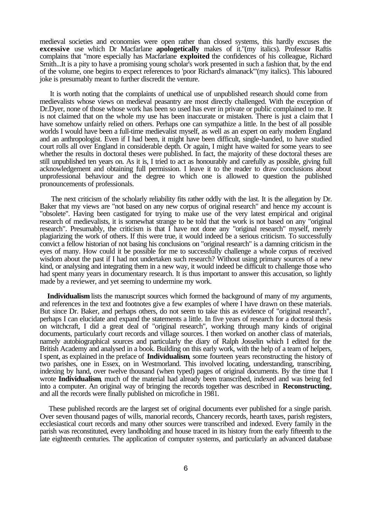medieval societies and economies were open rather than closed systems, this hardly excuses the **excessive** use which Dr Macfarlane **apologetically** makes of it."(my italics). Professor Raftis complains that "more especially has Macfarlane **exploited** the confidences of his colleague, Richard Smith...It is a pity to have a promising young scholar's work presented in such a fashion that, by the end of the volume, one begins to expect references to 'poor Richard's almanack'"(my italics). This laboured joke is presumably meant to further discredit the venture.

 It is worth noting that the complaints of unethical use of unpublished research should come from medievalists whose views on medieval peasantry are most directly challenged. With the exception of Dr.Dyer, none of those whose work has been so used has ever in private or public complained to me. It is not claimed that on the whole my use has been inaccurate or mistaken. There is just a claim that I have somehow unfairly relied on others. Perhaps one can sympathize a little. In the best of all possible worlds I would have been a full-time medievalist myself, as well as an expert on early modern England and an anthropologist. Even if I had been, it might have been difficult, single-handed, to have studied court rolls all over England in considerable depth. Or again, I might have waited for some years to see whether the results in doctoral theses were published. In fact, the majority of these doctoral theses are still unpublished ten years on. As it is, I tried to act as honourably and carefully as possible, giving full acknowledgement and obtaining full permission. I leave it to the reader to draw conclusions about unprofessional behaviour and the degree to which one is allowed to question the published pronouncements of professionals.

 The next criticism of the scholarly reliability fits rather oddly with the last. It is the allegation by Dr. Baker that my views are "not based on any new corpus of original research" and hence my account is "obsolete". Having been castigated for trying to make use of the very latest empirical and original research of medievalists, it is somewhat strange to be told that the work is not based on any "original research". Presumably, the criticism is that I have not done any "original research" myself, merely plagiarizing the work of others. If this were true, it would indeed be a serious criticism. To successfully convict a fellow historian of not basing his conclusions on "original research" is a damning criticism in the eyes of many. How could it be possible for me to successfully challenge a whole corpus of received wisdom about the past if I had not undertaken such research? Without using primary sources of a new kind, or analysing and integrating them in a new way, it would indeed be difficult to challenge those who had spent many years in documentary research. It is thus important to answer this accusation, so lightly made by a reviewer, and yet seeming to undermine my work.

Ī

 **Individualism** lists the manuscript sources which formed the background of many of my arguments, and references in the text and footnotes give a few examples of where I have drawn on these materials. But since Dr. Baker, and perhaps others, do not seem to take this as evidence of "original research", perhaps I can elucidate and expand the statements a little. In five years of research for a doctoral thesis on witchcraft, I did a great deal of "original research", working through many kinds of original documents, particularly court records and village sources. I then worked on another class of materials, namely autobiographical sources and particularly the diary of Ralph Josselin which I edited for the British Academy and analysed in a book. Building on this early work, with the help of a team of helpers, I spent, as explained in the preface of **Individualism**, some fourteen years reconstructing the history of two parishes, one in Essex, on in Westmorland. This involved locating, understanding, transcribing, indexing by hand, over twelve thousand (when typed) pages of original documents. By the time that I wrote **Individualism**, much of the material had already been transcribed, indexed and was being fed into a computer. An original way of bringing the records together was described in **Reconstructing**, and all the records were finally published on microfiche in 1981.

 These published records are the largest set of original documents ever published for a single parish. Over seven thousand pages of wills, manorial records, Chancery records, hearth taxes, parish registers, ecclesiastical court records and many other sources were transcribed and indexed. Every family in the parish was reconstituted, every landholding and house traced in its history from the early fifteenth to the late eighteenth centuries. The application of computer systems, and particularly an advanced database